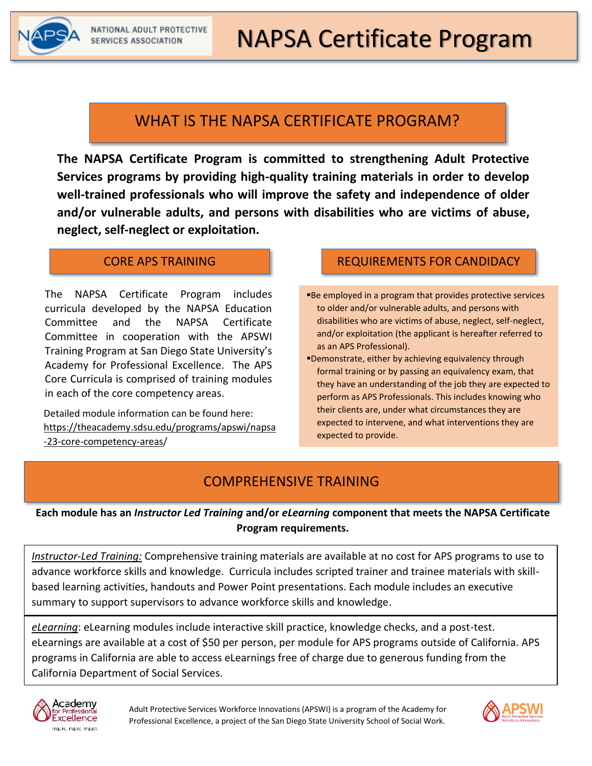

# WHAT IS THE NAPSA CERTIFICATE PROGRAM?

**The NAPSA Certificate Program is committed to strengthening Adult Protective Services programs by providing high-quality training materials in order to develop well-trained professionals who will improve the safety and independence of older and/or vulnerable adults, and persons with disabilities who are victims of abuse, neglect, self-neglect or exploitation.**

#### CORE APS TRAINING

The NAPSA Certificate Program includes curricula developed by the NAPSA Education Committee and the NAPSA Certificate Committee in cooperation with the APSWI Training Program at San Diego State University's Academy for Professional Excellence. The APS Core Curricula is comprised of training modules in each of the core competency areas.

Detailed module information can be found here: <https://theacademy.sdsu.edu/programs/apswi/napsa> -23-core-competency-areas/

## REQUIREMENTS FOR CANDIDACY

- ■Be employed in a program that provides protective services to older and/or vulnerable adults, and persons with disabilities who are victims of abuse, neglect, self-neglect, and/or exploitation (the applicant is hereafter referred to as an APS Professional).
- ▪Demonstrate, either by achieving equivalency through formal training or by passing an equivalency exam, that they have an understanding of the job they are expected to perform as APS Professionals. This includes knowing who their clients are, under what circumstances they are expected to intervene, and what interventions they are expected to provide.

## COMPREHENSIVE TRAINING

**Each module has an** *Instructor Led Training* **and/or** *eLearning* **component that meets the NAPSA Certificate Program requirements.** 

*Instructor-Led Training:* Comprehensive training materials are available at no cost for APS programs to use to advance workforce skills and knowledge. Curricula includes scripted trainer and trainee materials with skillbased learning activities, handouts and Power Point presentations. Each module includes an executive summary to support supervisors to advance workforce skills and knowledge.

*eLearning*: eLearning modules include interactive skill practice, knowledge checks, and a post-test. eLearnings are available at a cost of \$50 per person, per module for APS programs outside of California. APS programs in California are able to access eLearnings free of charge due to generous funding from the California Department of Social Services.



Adult Protective Services Workforce Innovations (APSWI) is a program of the Academy for Professional Excellence, a project of the San Diego State University School of Social Work.